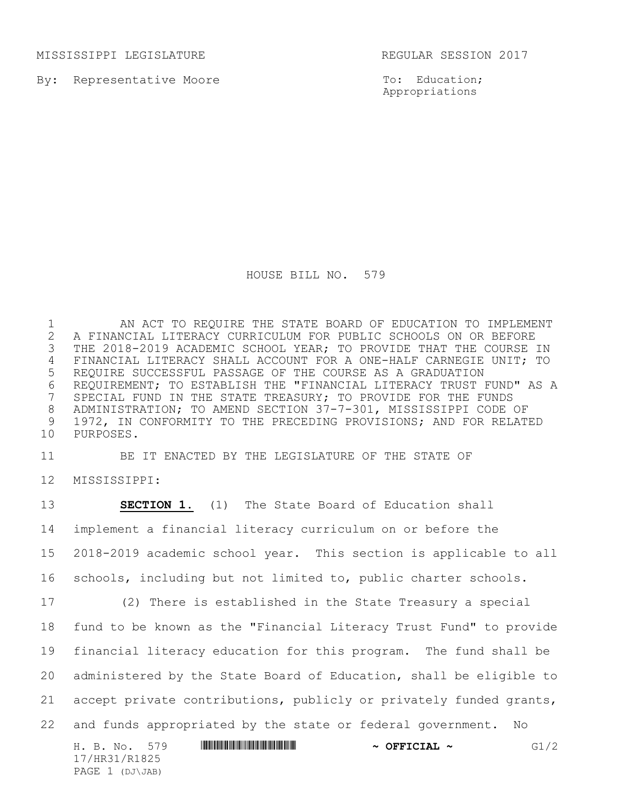MISSISSIPPI LEGISLATURE REGULAR SESSION 2017

By: Representative Moore

To: Education; Appropriations

HOUSE BILL NO. 579

1 AN ACT TO REQUIRE THE STATE BOARD OF EDUCATION TO IMPLEMENT 2 A FINANCIAL LITERACY CURRICULUM FOR PUBLIC SCHOOLS ON OR BEFORE<br>3 THE 2018-2019 ACADEMIC SCHOOL YEAR; TO PROVIDE THAT THE COURSE : THE 2018-2019 ACADEMIC SCHOOL YEAR; TO PROVIDE THAT THE COURSE IN 4 FINANCIAL LITERACY SHALL ACCOUNT FOR A ONE-HALF CARNEGIE UNIT; TO 5 REQUIRE SUCCESSFUL PASSAGE OF THE COURSE AS A GRADUATION 6 REQUIREMENT; TO ESTABLISH THE "FINANCIAL LITERACY TRUST FUND" AS A<br>7 SPECIAL FUND IN THE STATE TREASURY; TO PROVIDE FOR THE FUNDS SPECIAL FUND IN THE STATE TREASURY; TO PROVIDE FOR THE FUNDS 8 ADMINISTRATION; TO AMEND SECTION 37-7-301, MISSISSIPPI CODE OF 9 1972, IN CONFORMITY TO THE PRECEDING PROVISIONS; AND FOR RELATED 10 PURPOSES.

11 BE IT ENACTED BY THE LEGISLATURE OF THE STATE OF

12 MISSISSIPPI:

PAGE 1 (DJ\JAB)

H. B. No. 579 **AN ANTIFERT AND A SEFICIAL ~** G1/2 17/HR31/R1825 **SECTION 1.** (1) The State Board of Education shall implement a financial literacy curriculum on or before the 2018-2019 academic school year. This section is applicable to all schools, including but not limited to, public charter schools. (2) There is established in the State Treasury a special fund to be known as the "Financial Literacy Trust Fund" to provide financial literacy education for this program. The fund shall be administered by the State Board of Education, shall be eligible to accept private contributions, publicly or privately funded grants, and funds appropriated by the state or federal government. No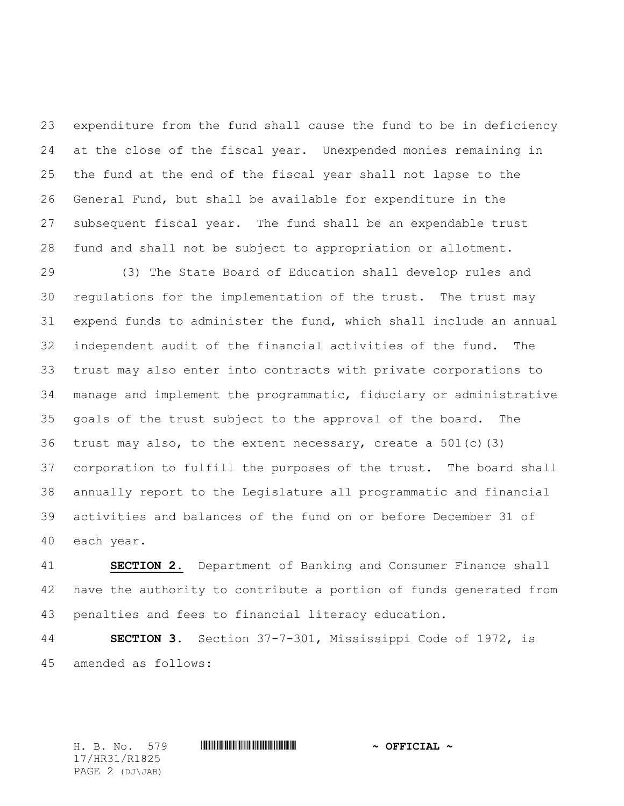expenditure from the fund shall cause the fund to be in deficiency at the close of the fiscal year. Unexpended monies remaining in the fund at the end of the fiscal year shall not lapse to the General Fund, but shall be available for expenditure in the subsequent fiscal year. The fund shall be an expendable trust fund and shall not be subject to appropriation or allotment.

 (3) The State Board of Education shall develop rules and regulations for the implementation of the trust. The trust may expend funds to administer the fund, which shall include an annual independent audit of the financial activities of the fund. The trust may also enter into contracts with private corporations to manage and implement the programmatic, fiduciary or administrative goals of the trust subject to the approval of the board. The 36 trust may also, to the extent necessary, create a  $501(c)(3)$  corporation to fulfill the purposes of the trust. The board shall annually report to the Legislature all programmatic and financial activities and balances of the fund on or before December 31 of each year.

 **SECTION 2.** Department of Banking and Consumer Finance shall have the authority to contribute a portion of funds generated from penalties and fees to financial literacy education.

 **SECTION 3.** Section 37-7-301, Mississippi Code of 1972, is amended as follows:

17/HR31/R1825 PAGE 2 (DJ\JAB)

H. B. No. 579 \*HR31/R1825\* **~ OFFICIAL ~**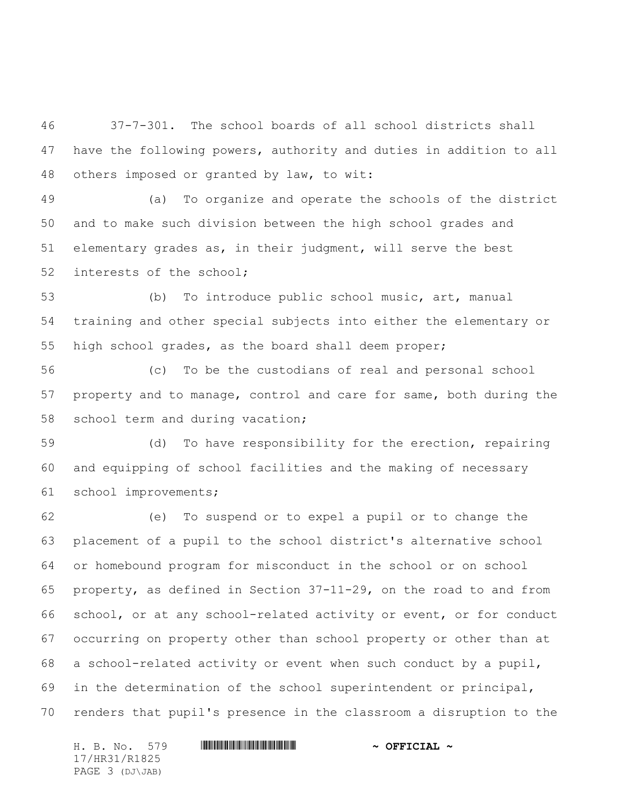37-7-301. The school boards of all school districts shall have the following powers, authority and duties in addition to all others imposed or granted by law, to wit:

 (a) To organize and operate the schools of the district and to make such division between the high school grades and elementary grades as, in their judgment, will serve the best interests of the school;

 (b) To introduce public school music, art, manual training and other special subjects into either the elementary or high school grades, as the board shall deem proper;

 (c) To be the custodians of real and personal school property and to manage, control and care for same, both during the school term and during vacation;

 (d) To have responsibility for the erection, repairing and equipping of school facilities and the making of necessary school improvements;

 (e) To suspend or to expel a pupil or to change the placement of a pupil to the school district's alternative school or homebound program for misconduct in the school or on school property, as defined in Section 37-11-29, on the road to and from school, or at any school-related activity or event, or for conduct occurring on property other than school property or other than at a school-related activity or event when such conduct by a pupil, in the determination of the school superintendent or principal, renders that pupil's presence in the classroom a disruption to the

H. B. No. 579 \*HR31/R1825\* **~ OFFICIAL ~** 17/HR31/R1825 PAGE 3 (DJ\JAB)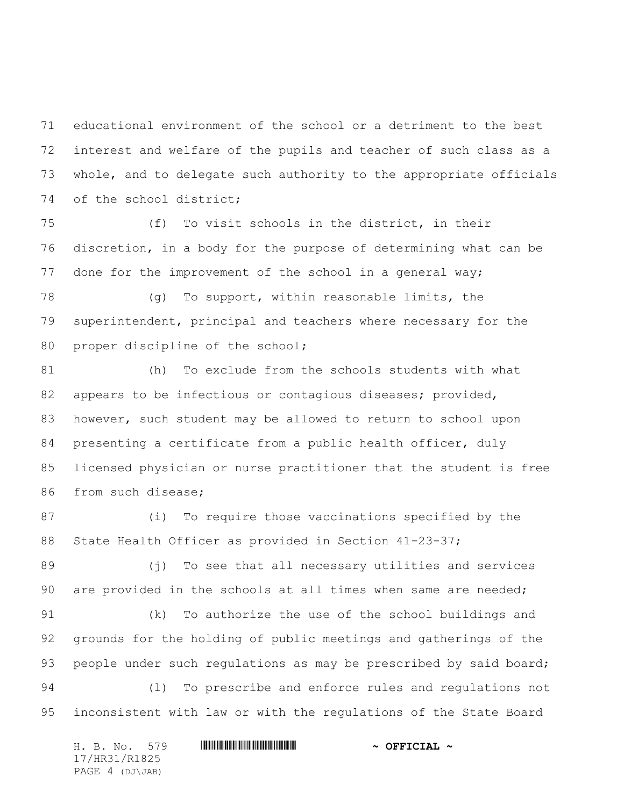educational environment of the school or a detriment to the best interest and welfare of the pupils and teacher of such class as a whole, and to delegate such authority to the appropriate officials of the school district;

 (f) To visit schools in the district, in their discretion, in a body for the purpose of determining what can be done for the improvement of the school in a general way;

 (g) To support, within reasonable limits, the superintendent, principal and teachers where necessary for the proper discipline of the school;

 (h) To exclude from the schools students with what 82 appears to be infectious or contagious diseases; provided, 83 however, such student may be allowed to return to school upon presenting a certificate from a public health officer, duly licensed physician or nurse practitioner that the student is free from such disease;

 (i) To require those vaccinations specified by the 88 State Health Officer as provided in Section 41-23-37;

 (j) To see that all necessary utilities and services are provided in the schools at all times when same are needed;

 (k) To authorize the use of the school buildings and grounds for the holding of public meetings and gatherings of the 93 people under such regulations as may be prescribed by said board; (l) To prescribe and enforce rules and regulations not inconsistent with law or with the regulations of the State Board

H. B. No. 579 \*HR31/R1825\* **~ OFFICIAL ~** 17/HR31/R1825 PAGE 4 (DJ\JAB)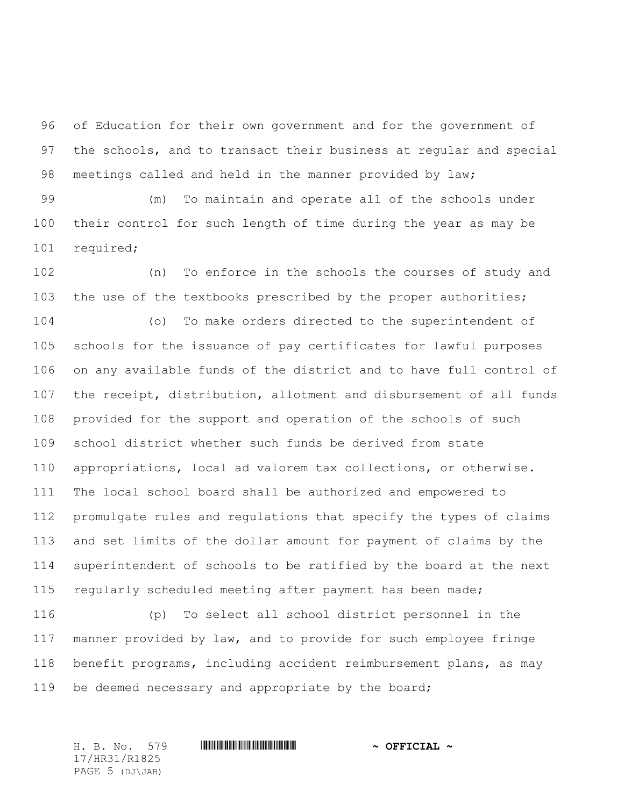of Education for their own government and for the government of the schools, and to transact their business at regular and special meetings called and held in the manner provided by law;

 (m) To maintain and operate all of the schools under their control for such length of time during the year as may be required;

 (n) To enforce in the schools the courses of study and the use of the textbooks prescribed by the proper authorities;

 (o) To make orders directed to the superintendent of schools for the issuance of pay certificates for lawful purposes on any available funds of the district and to have full control of the receipt, distribution, allotment and disbursement of all funds provided for the support and operation of the schools of such school district whether such funds be derived from state appropriations, local ad valorem tax collections, or otherwise. The local school board shall be authorized and empowered to promulgate rules and regulations that specify the types of claims and set limits of the dollar amount for payment of claims by the superintendent of schools to be ratified by the board at the next regularly scheduled meeting after payment has been made;

 (p) To select all school district personnel in the manner provided by law, and to provide for such employee fringe benefit programs, including accident reimbursement plans, as may be deemed necessary and appropriate by the board;

17/HR31/R1825 PAGE 5 (DJ\JAB)

H. B. No. 579 \*HR31/R1825\* **~ OFFICIAL ~**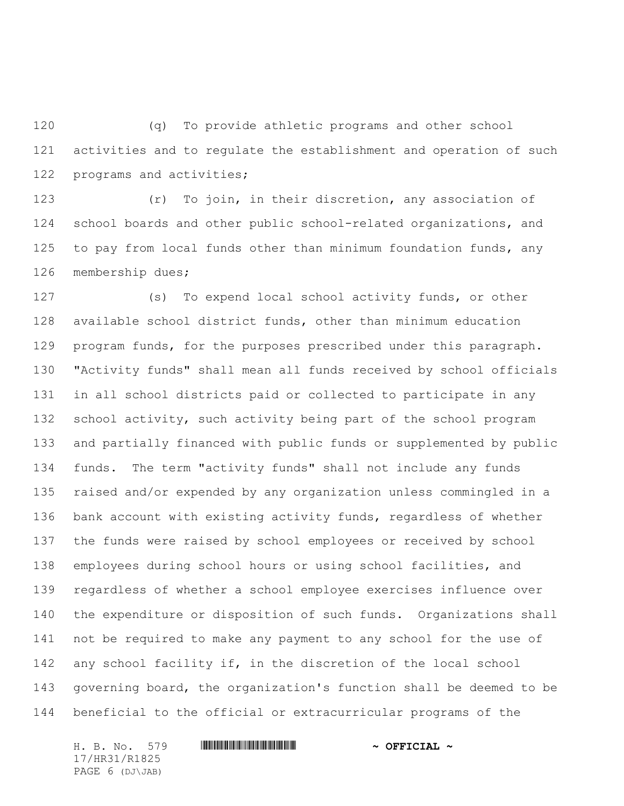(q) To provide athletic programs and other school activities and to regulate the establishment and operation of such programs and activities;

 (r) To join, in their discretion, any association of school boards and other public school-related organizations, and 125 to pay from local funds other than minimum foundation funds, any membership dues;

 (s) To expend local school activity funds, or other available school district funds, other than minimum education program funds, for the purposes prescribed under this paragraph. "Activity funds" shall mean all funds received by school officials in all school districts paid or collected to participate in any school activity, such activity being part of the school program and partially financed with public funds or supplemented by public funds. The term "activity funds" shall not include any funds raised and/or expended by any organization unless commingled in a bank account with existing activity funds, regardless of whether the funds were raised by school employees or received by school employees during school hours or using school facilities, and regardless of whether a school employee exercises influence over the expenditure or disposition of such funds. Organizations shall not be required to make any payment to any school for the use of any school facility if, in the discretion of the local school governing board, the organization's function shall be deemed to be beneficial to the official or extracurricular programs of the

17/HR31/R1825 PAGE 6 (DJ\JAB)

H. B. No. 579 \*HR31/R1825\* **~ OFFICIAL ~**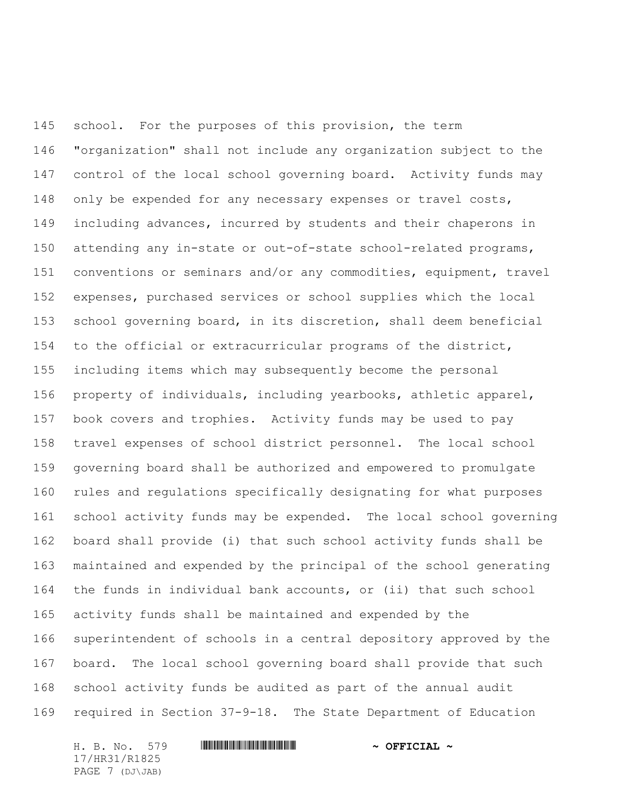school. For the purposes of this provision, the term "organization" shall not include any organization subject to the control of the local school governing board. Activity funds may only be expended for any necessary expenses or travel costs, including advances, incurred by students and their chaperons in attending any in-state or out-of-state school-related programs, conventions or seminars and/or any commodities, equipment, travel expenses, purchased services or school supplies which the local school governing board, in its discretion, shall deem beneficial to the official or extracurricular programs of the district, including items which may subsequently become the personal property of individuals, including yearbooks, athletic apparel, book covers and trophies. Activity funds may be used to pay travel expenses of school district personnel. The local school governing board shall be authorized and empowered to promulgate rules and regulations specifically designating for what purposes school activity funds may be expended. The local school governing board shall provide (i) that such school activity funds shall be maintained and expended by the principal of the school generating the funds in individual bank accounts, or (ii) that such school activity funds shall be maintained and expended by the superintendent of schools in a central depository approved by the board. The local school governing board shall provide that such school activity funds be audited as part of the annual audit required in Section 37-9-18. The State Department of Education

H. B. No. 579 \*HR31/R1825\* **~ OFFICIAL ~** 17/HR31/R1825 PAGE 7 (DJ\JAB)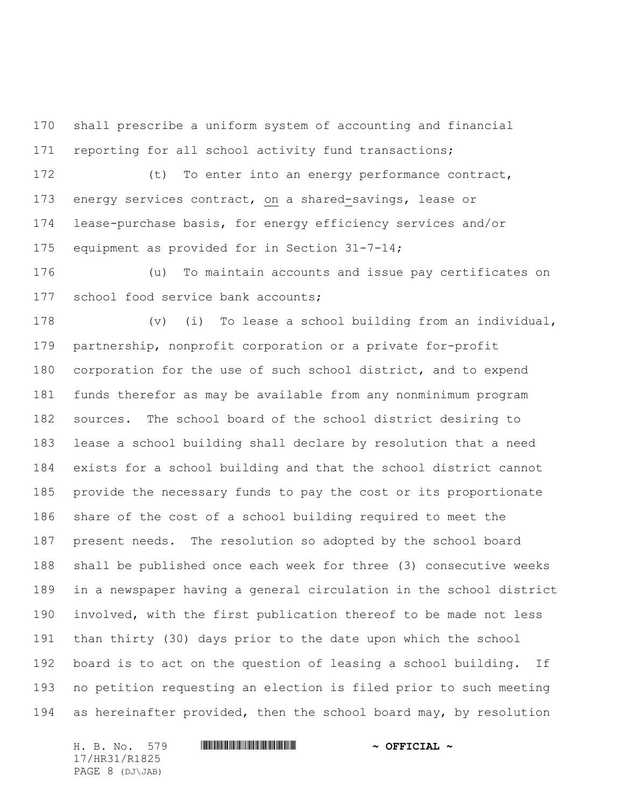shall prescribe a uniform system of accounting and financial reporting for all school activity fund transactions;

 (t) To enter into an energy performance contract, energy services contract, on a shared-savings, lease or lease-purchase basis, for energy efficiency services and/or equipment as provided for in Section 31-7-14;

 (u) To maintain accounts and issue pay certificates on 177 school food service bank accounts;

 (v) (i) To lease a school building from an individual, partnership, nonprofit corporation or a private for-profit corporation for the use of such school district, and to expend funds therefor as may be available from any nonminimum program sources. The school board of the school district desiring to lease a school building shall declare by resolution that a need exists for a school building and that the school district cannot provide the necessary funds to pay the cost or its proportionate share of the cost of a school building required to meet the present needs. The resolution so adopted by the school board shall be published once each week for three (3) consecutive weeks in a newspaper having a general circulation in the school district involved, with the first publication thereof to be made not less than thirty (30) days prior to the date upon which the school board is to act on the question of leasing a school building. If no petition requesting an election is filed prior to such meeting as hereinafter provided, then the school board may, by resolution

17/HR31/R1825 PAGE 8 (DJ\JAB)

H. B. No. 579 **HRANGE READER AND A OFFICIAL ~**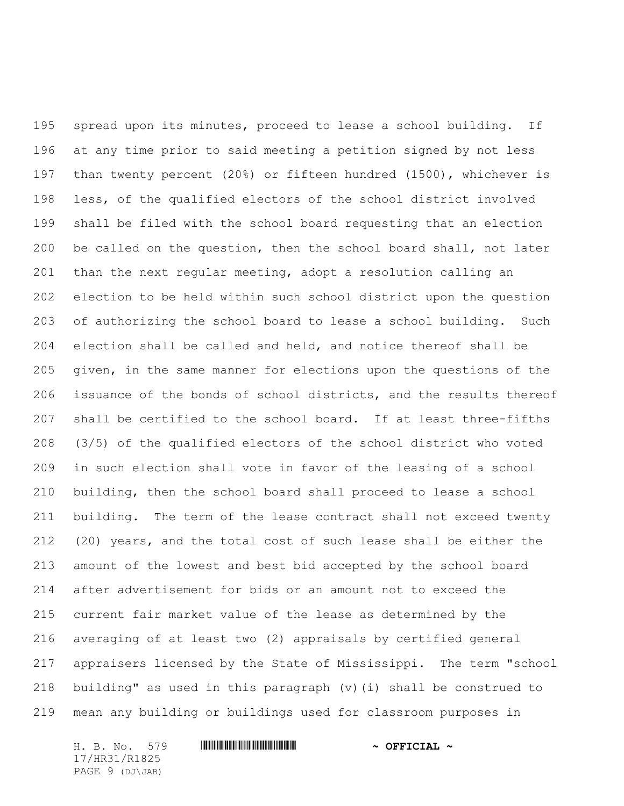spread upon its minutes, proceed to lease a school building. If at any time prior to said meeting a petition signed by not less than twenty percent (20%) or fifteen hundred (1500), whichever is less, of the qualified electors of the school district involved shall be filed with the school board requesting that an election be called on the question, then the school board shall, not later than the next regular meeting, adopt a resolution calling an election to be held within such school district upon the question of authorizing the school board to lease a school building. Such election shall be called and held, and notice thereof shall be given, in the same manner for elections upon the questions of the issuance of the bonds of school districts, and the results thereof shall be certified to the school board. If at least three-fifths (3/5) of the qualified electors of the school district who voted in such election shall vote in favor of the leasing of a school building, then the school board shall proceed to lease a school building. The term of the lease contract shall not exceed twenty (20) years, and the total cost of such lease shall be either the amount of the lowest and best bid accepted by the school board after advertisement for bids or an amount not to exceed the current fair market value of the lease as determined by the averaging of at least two (2) appraisals by certified general appraisers licensed by the State of Mississippi. The term "school building" as used in this paragraph (v)(i) shall be construed to mean any building or buildings used for classroom purposes in

H. B. No. 579 **HRING AND ALL AND A STRICIAL ~** 17/HR31/R1825 PAGE 9 (DJ\JAB)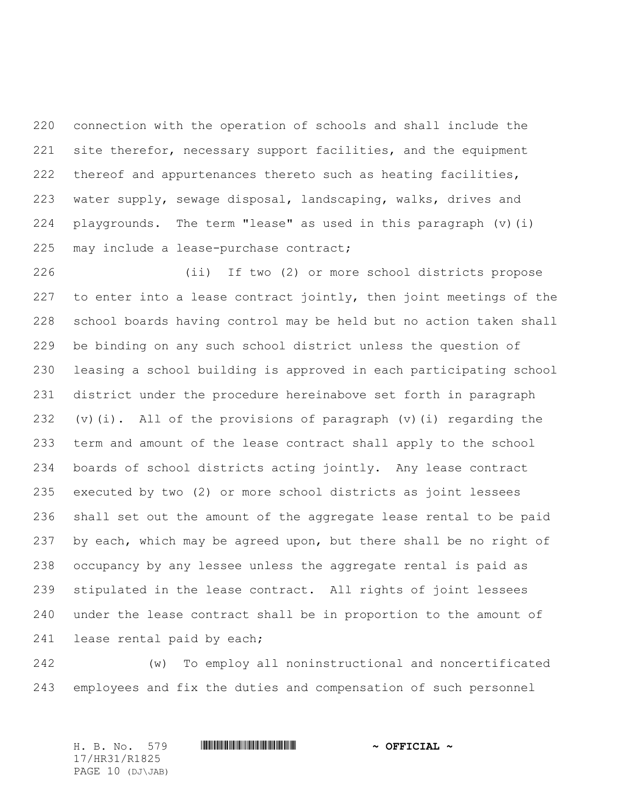connection with the operation of schools and shall include the site therefor, necessary support facilities, and the equipment thereof and appurtenances thereto such as heating facilities, water supply, sewage disposal, landscaping, walks, drives and playgrounds. The term "lease" as used in this paragraph (v)(i) 225 may include a lease-purchase contract;

 (ii) If two (2) or more school districts propose to enter into a lease contract jointly, then joint meetings of the school boards having control may be held but no action taken shall be binding on any such school district unless the question of leasing a school building is approved in each participating school district under the procedure hereinabove set forth in paragraph (v)(i). All of the provisions of paragraph (v)(i) regarding the term and amount of the lease contract shall apply to the school boards of school districts acting jointly. Any lease contract executed by two (2) or more school districts as joint lessees shall set out the amount of the aggregate lease rental to be paid by each, which may be agreed upon, but there shall be no right of occupancy by any lessee unless the aggregate rental is paid as stipulated in the lease contract. All rights of joint lessees under the lease contract shall be in proportion to the amount of 241 lease rental paid by each;

 (w) To employ all noninstructional and noncertificated employees and fix the duties and compensation of such personnel

H. B. No. 579 \*HR31/R1825\* **~ OFFICIAL ~** 17/HR31/R1825 PAGE 10 (DJ\JAB)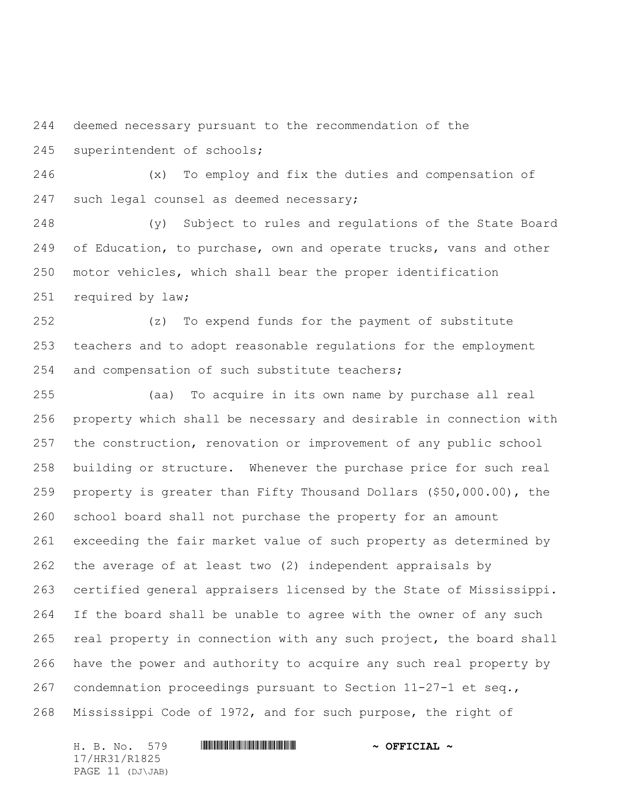deemed necessary pursuant to the recommendation of the superintendent of schools;

 (x) To employ and fix the duties and compensation of 247 such legal counsel as deemed necessary;

 (y) Subject to rules and regulations of the State Board 249 of Education, to purchase, own and operate trucks, vans and other motor vehicles, which shall bear the proper identification required by law;

 (z) To expend funds for the payment of substitute teachers and to adopt reasonable regulations for the employment and compensation of such substitute teachers;

 (aa) To acquire in its own name by purchase all real property which shall be necessary and desirable in connection with the construction, renovation or improvement of any public school building or structure. Whenever the purchase price for such real property is greater than Fifty Thousand Dollars (\$50,000.00), the school board shall not purchase the property for an amount exceeding the fair market value of such property as determined by the average of at least two (2) independent appraisals by certified general appraisers licensed by the State of Mississippi. If the board shall be unable to agree with the owner of any such real property in connection with any such project, the board shall have the power and authority to acquire any such real property by condemnation proceedings pursuant to Section 11-27-1 et seq., Mississippi Code of 1972, and for such purpose, the right of

H. B. No. 579 **HRANGE READER AND A OFFICIAL ~** 17/HR31/R1825 PAGE 11 (DJ\JAB)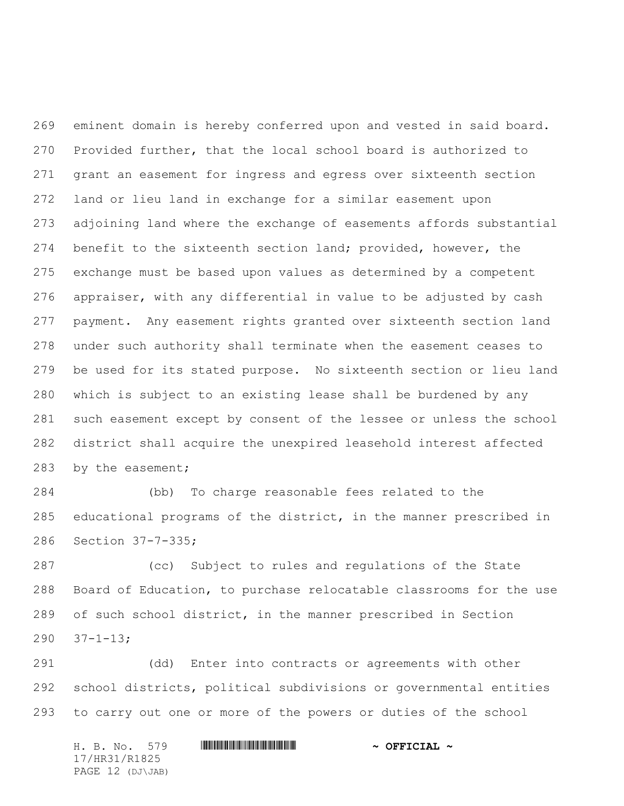eminent domain is hereby conferred upon and vested in said board. Provided further, that the local school board is authorized to grant an easement for ingress and egress over sixteenth section land or lieu land in exchange for a similar easement upon adjoining land where the exchange of easements affords substantial benefit to the sixteenth section land; provided, however, the exchange must be based upon values as determined by a competent appraiser, with any differential in value to be adjusted by cash payment. Any easement rights granted over sixteenth section land under such authority shall terminate when the easement ceases to be used for its stated purpose. No sixteenth section or lieu land which is subject to an existing lease shall be burdened by any such easement except by consent of the lessee or unless the school district shall acquire the unexpired leasehold interest affected by the easement;

 (bb) To charge reasonable fees related to the educational programs of the district, in the manner prescribed in Section 37-7-335;

 (cc) Subject to rules and regulations of the State Board of Education, to purchase relocatable classrooms for the use of such school district, in the manner prescribed in Section 37-1-13;

 (dd) Enter into contracts or agreements with other school districts, political subdivisions or governmental entities to carry out one or more of the powers or duties of the school

H. B. No. 579 \*HR31/R1825\* **~ OFFICIAL ~** 17/HR31/R1825 PAGE 12 (DJ\JAB)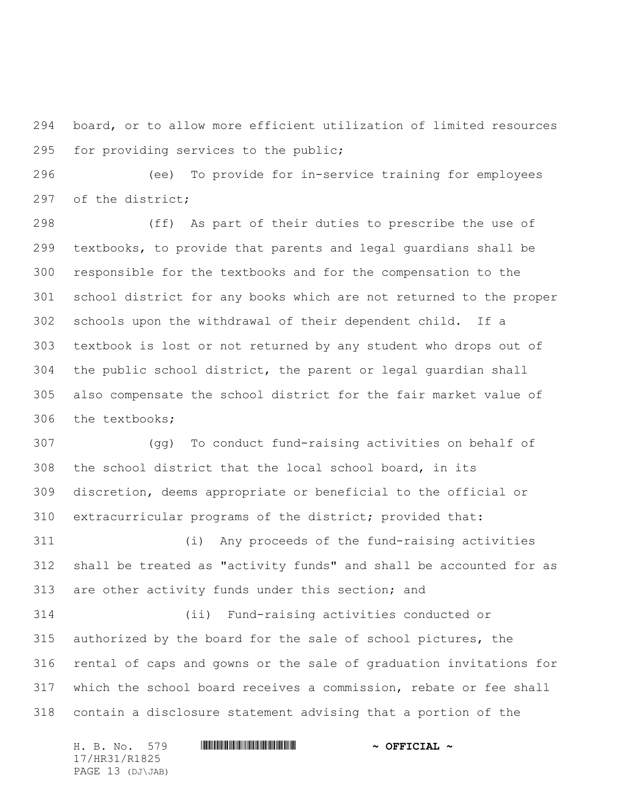board, or to allow more efficient utilization of limited resources for providing services to the public;

 (ee) To provide for in-service training for employees of the district;

 (ff) As part of their duties to prescribe the use of textbooks, to provide that parents and legal guardians shall be responsible for the textbooks and for the compensation to the school district for any books which are not returned to the proper schools upon the withdrawal of their dependent child. If a textbook is lost or not returned by any student who drops out of the public school district, the parent or legal guardian shall also compensate the school district for the fair market value of the textbooks;

 (gg) To conduct fund-raising activities on behalf of the school district that the local school board, in its discretion, deems appropriate or beneficial to the official or extracurricular programs of the district; provided that:

 (i) Any proceeds of the fund-raising activities shall be treated as "activity funds" and shall be accounted for as are other activity funds under this section; and

 (ii) Fund-raising activities conducted or authorized by the board for the sale of school pictures, the rental of caps and gowns or the sale of graduation invitations for which the school board receives a commission, rebate or fee shall contain a disclosure statement advising that a portion of the

H. B. No. 579 \*HR31/R1825\* **~ OFFICIAL ~** 17/HR31/R1825 PAGE 13 (DJ\JAB)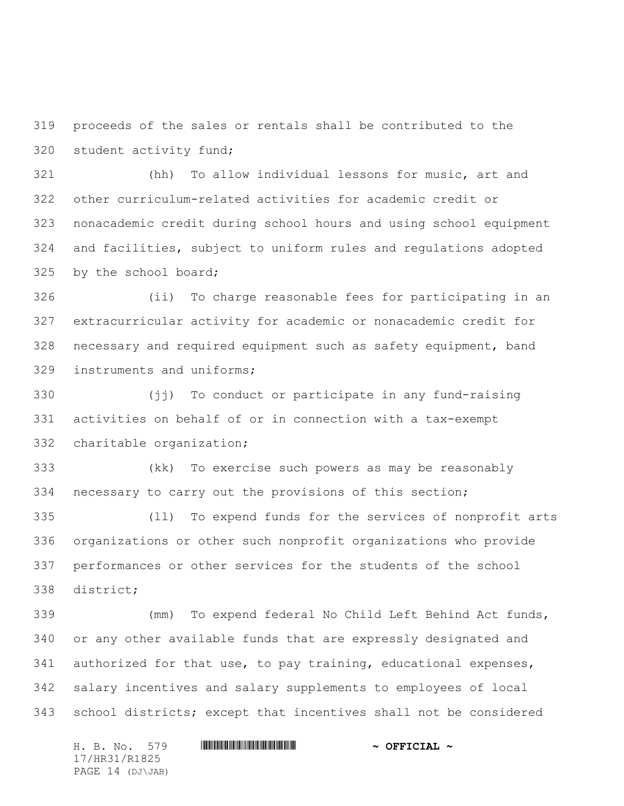proceeds of the sales or rentals shall be contributed to the student activity fund;

 (hh) To allow individual lessons for music, art and other curriculum-related activities for academic credit or nonacademic credit during school hours and using school equipment and facilities, subject to uniform rules and regulations adopted 325 by the school board;

 (ii) To charge reasonable fees for participating in an extracurricular activity for academic or nonacademic credit for necessary and required equipment such as safety equipment, band instruments and uniforms;

 (jj) To conduct or participate in any fund-raising activities on behalf of or in connection with a tax-exempt charitable organization;

 (kk) To exercise such powers as may be reasonably necessary to carry out the provisions of this section;

 (ll) To expend funds for the services of nonprofit arts organizations or other such nonprofit organizations who provide performances or other services for the students of the school district;

 (mm) To expend federal No Child Left Behind Act funds, or any other available funds that are expressly designated and authorized for that use, to pay training, educational expenses, salary incentives and salary supplements to employees of local school districts; except that incentives shall not be considered

H. B. No. 579 \*HR31/R1825\* **~ OFFICIAL ~** 17/HR31/R1825 PAGE 14 (DJ\JAB)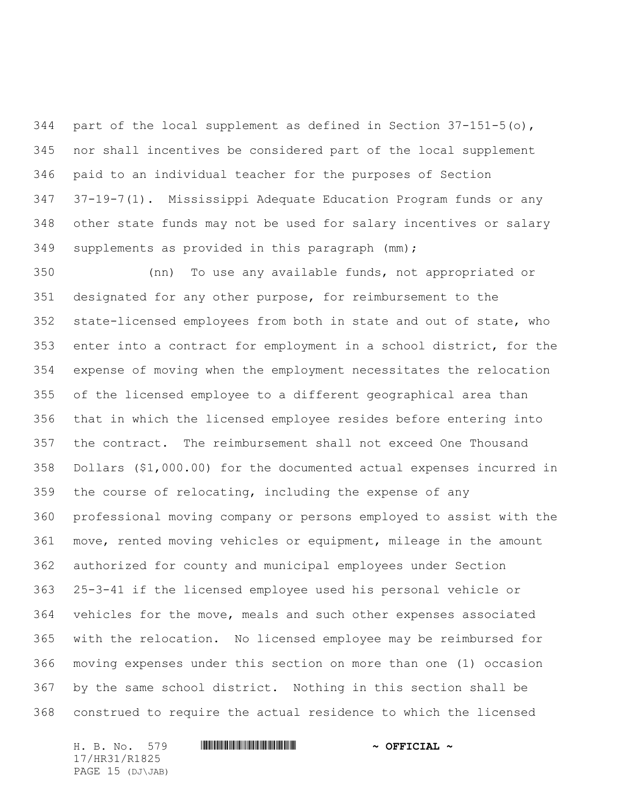344 part of the local supplement as defined in Section  $37-151-5$  (o), nor shall incentives be considered part of the local supplement paid to an individual teacher for the purposes of Section 37-19-7(1). Mississippi Adequate Education Program funds or any other state funds may not be used for salary incentives or salary supplements as provided in this paragraph (mm);

 (nn) To use any available funds, not appropriated or designated for any other purpose, for reimbursement to the state-licensed employees from both in state and out of state, who enter into a contract for employment in a school district, for the expense of moving when the employment necessitates the relocation of the licensed employee to a different geographical area than that in which the licensed employee resides before entering into the contract. The reimbursement shall not exceed One Thousand Dollars (\$1,000.00) for the documented actual expenses incurred in the course of relocating, including the expense of any professional moving company or persons employed to assist with the move, rented moving vehicles or equipment, mileage in the amount authorized for county and municipal employees under Section 25-3-41 if the licensed employee used his personal vehicle or vehicles for the move, meals and such other expenses associated with the relocation. No licensed employee may be reimbursed for moving expenses under this section on more than one (1) occasion by the same school district. Nothing in this section shall be construed to require the actual residence to which the licensed

H. B. No. 579 \*HR31/R1825\* **~ OFFICIAL ~** 17/HR31/R1825 PAGE 15 (DJ\JAB)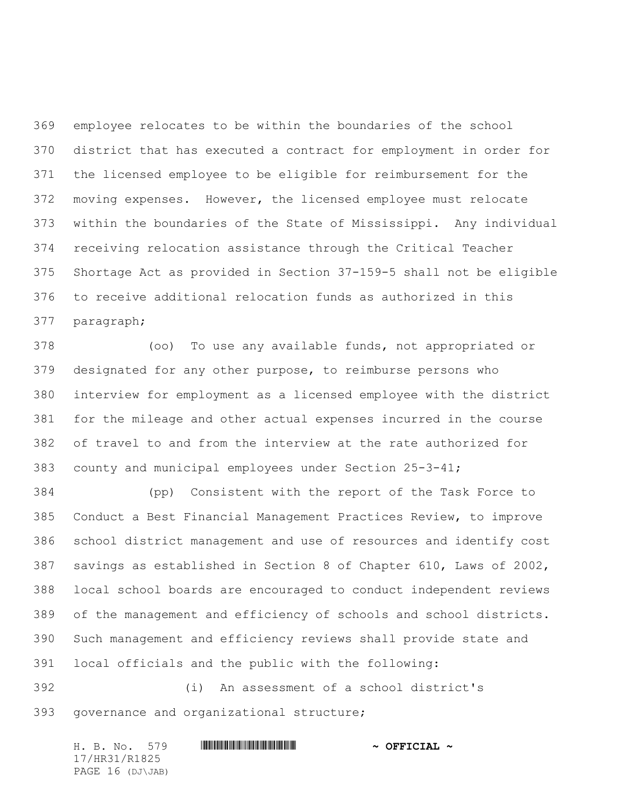employee relocates to be within the boundaries of the school district that has executed a contract for employment in order for the licensed employee to be eligible for reimbursement for the moving expenses. However, the licensed employee must relocate within the boundaries of the State of Mississippi. Any individual receiving relocation assistance through the Critical Teacher Shortage Act as provided in Section 37-159-5 shall not be eligible to receive additional relocation funds as authorized in this paragraph;

 (oo) To use any available funds, not appropriated or designated for any other purpose, to reimburse persons who interview for employment as a licensed employee with the district for the mileage and other actual expenses incurred in the course of travel to and from the interview at the rate authorized for county and municipal employees under Section 25-3-41;

 (pp) Consistent with the report of the Task Force to Conduct a Best Financial Management Practices Review, to improve school district management and use of resources and identify cost savings as established in Section 8 of Chapter 610, Laws of 2002, local school boards are encouraged to conduct independent reviews of the management and efficiency of schools and school districts. Such management and efficiency reviews shall provide state and local officials and the public with the following:

 (i) An assessment of a school district's governance and organizational structure;

H. B. No. 579 \*HR31/R1825\* **~ OFFICIAL ~** 17/HR31/R1825 PAGE 16 (DJ\JAB)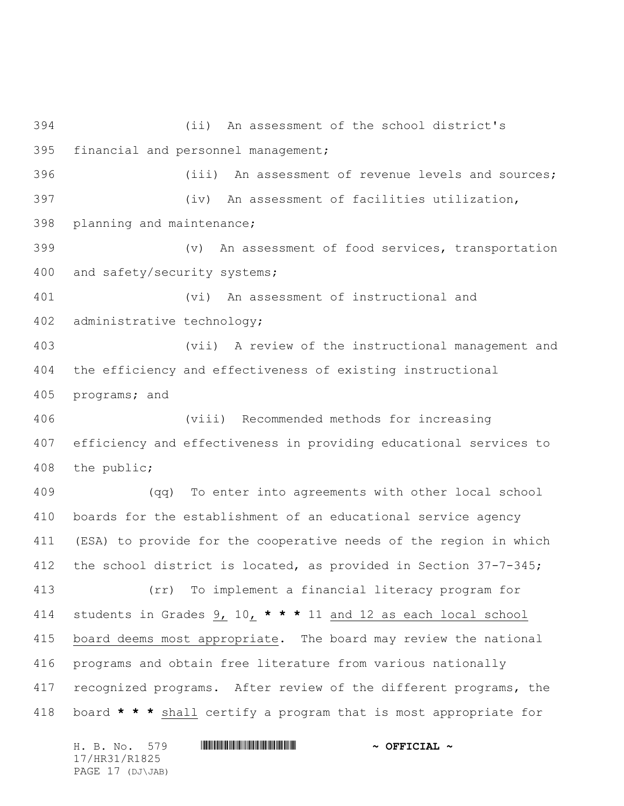(ii) An assessment of the school district's financial and personnel management; (iii) An assessment of revenue levels and sources; (iv) An assessment of facilities utilization, planning and maintenance; (v) An assessment of food services, transportation and safety/security systems; (vi) An assessment of instructional and administrative technology; (vii) A review of the instructional management and the efficiency and effectiveness of existing instructional programs; and (viii) Recommended methods for increasing efficiency and effectiveness in providing educational services to the public; (qq) To enter into agreements with other local school boards for the establishment of an educational service agency (ESA) to provide for the cooperative needs of the region in which the school district is located, as provided in Section 37-7-345; (rr) To implement a financial literacy program for students in Grades 9, 10, **\* \* \*** 11 and 12 as each local school board deems most appropriate. The board may review the national programs and obtain free literature from various nationally recognized programs. After review of the different programs, the board **\* \* \*** shall certify a program that is most appropriate for

H. B. No. 579 **HRANGE READER AND A OFFICIAL ~** 17/HR31/R1825 PAGE 17 (DJ\JAB)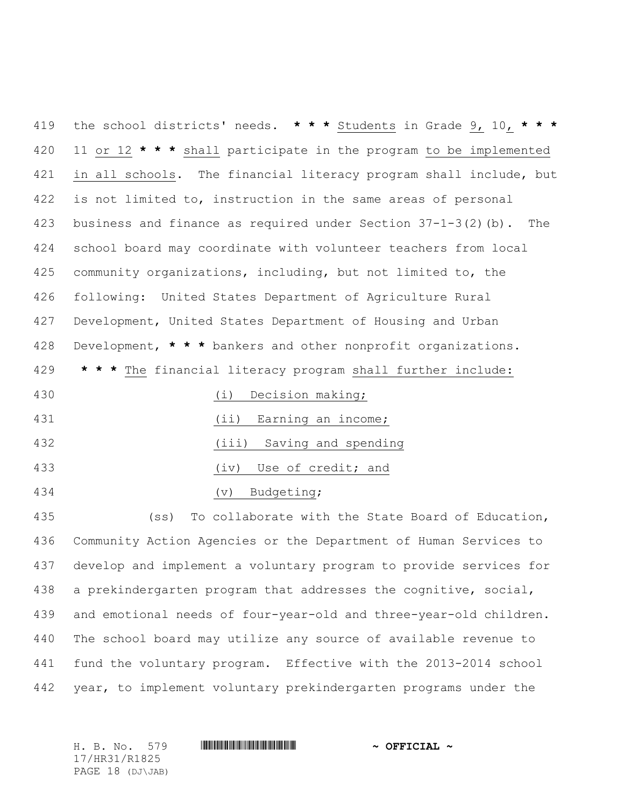the school districts' needs. **\* \* \*** Students in Grade 9, 10, **\* \* \*** 11 or 12 **\* \* \*** shall participate in the program to be implemented 421 in all schools. The financial literacy program shall include, but is not limited to, instruction in the same areas of personal business and finance as required under Section 37-1-3(2)(b). The school board may coordinate with volunteer teachers from local community organizations, including, but not limited to, the following: United States Department of Agriculture Rural Development, United States Department of Housing and Urban Development, **\* \* \*** bankers and other nonprofit organizations. **\* \* \*** The financial literacy program shall further include: (i) Decision making; 431 (ii) Earning an income; (iii) Saving and spending

(iv) Use of credit; and

(v) Budgeting;

 (ss) To collaborate with the State Board of Education, Community Action Agencies or the Department of Human Services to develop and implement a voluntary program to provide services for a prekindergarten program that addresses the cognitive, social, and emotional needs of four-year-old and three-year-old children. The school board may utilize any source of available revenue to fund the voluntary program. Effective with the 2013-2014 school year, to implement voluntary prekindergarten programs under the

17/HR31/R1825 PAGE 18 (DJ\JAB)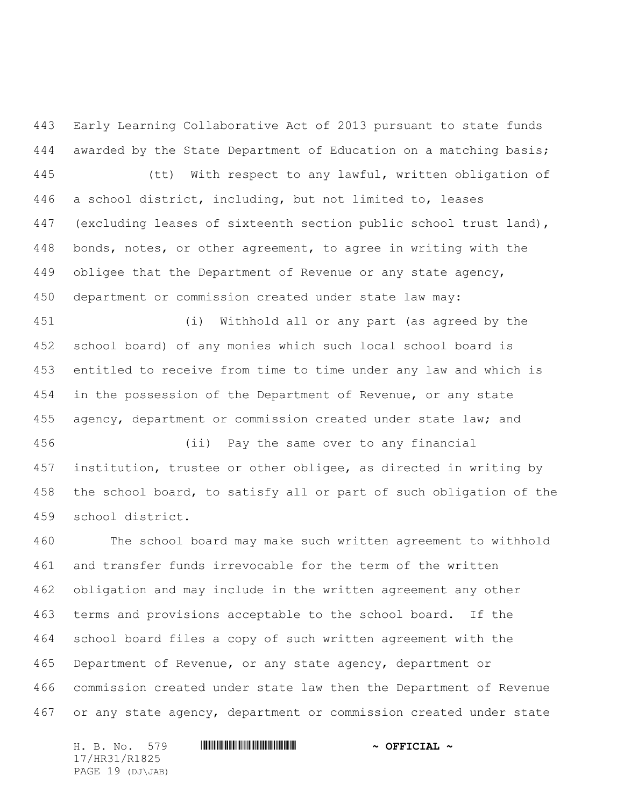Early Learning Collaborative Act of 2013 pursuant to state funds awarded by the State Department of Education on a matching basis; (tt) With respect to any lawful, written obligation of a school district, including, but not limited to, leases (excluding leases of sixteenth section public school trust land), bonds, notes, or other agreement, to agree in writing with the obligee that the Department of Revenue or any state agency, department or commission created under state law may:

 (i) Withhold all or any part (as agreed by the school board) of any monies which such local school board is entitled to receive from time to time under any law and which is in the possession of the Department of Revenue, or any state 455 agency, department or commission created under state law; and

 (ii) Pay the same over to any financial institution, trustee or other obligee, as directed in writing by the school board, to satisfy all or part of such obligation of the school district.

 The school board may make such written agreement to withhold and transfer funds irrevocable for the term of the written obligation and may include in the written agreement any other terms and provisions acceptable to the school board. If the school board files a copy of such written agreement with the Department of Revenue, or any state agency, department or commission created under state law then the Department of Revenue or any state agency, department or commission created under state

H. B. No. 579 \*HR31/R1825\* **~ OFFICIAL ~** 17/HR31/R1825 PAGE 19 (DJ\JAB)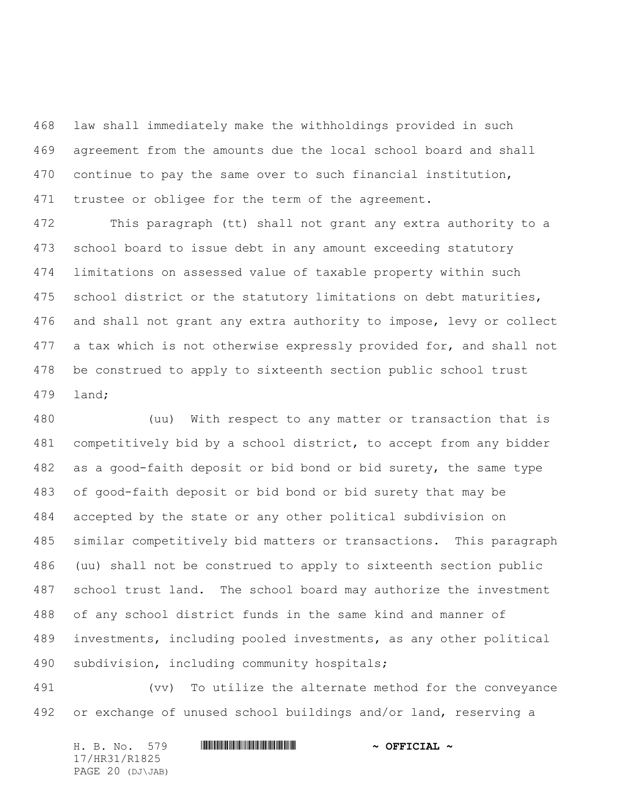law shall immediately make the withholdings provided in such agreement from the amounts due the local school board and shall continue to pay the same over to such financial institution, 471 trustee or obligee for the term of the agreement.

 This paragraph (tt) shall not grant any extra authority to a school board to issue debt in any amount exceeding statutory limitations on assessed value of taxable property within such school district or the statutory limitations on debt maturities, and shall not grant any extra authority to impose, levy or collect 477 a tax which is not otherwise expressly provided for, and shall not be construed to apply to sixteenth section public school trust land;

 (uu) With respect to any matter or transaction that is competitively bid by a school district, to accept from any bidder as a good-faith deposit or bid bond or bid surety, the same type of good-faith deposit or bid bond or bid surety that may be accepted by the state or any other political subdivision on similar competitively bid matters or transactions. This paragraph (uu) shall not be construed to apply to sixteenth section public school trust land. The school board may authorize the investment of any school district funds in the same kind and manner of investments, including pooled investments, as any other political subdivision, including community hospitals;

 (vv) To utilize the alternate method for the conveyance or exchange of unused school buildings and/or land, reserving a

H. B. No. 579 **HRANGE READER AND A OFFICIAL ~** 17/HR31/R1825 PAGE 20 (DJ\JAB)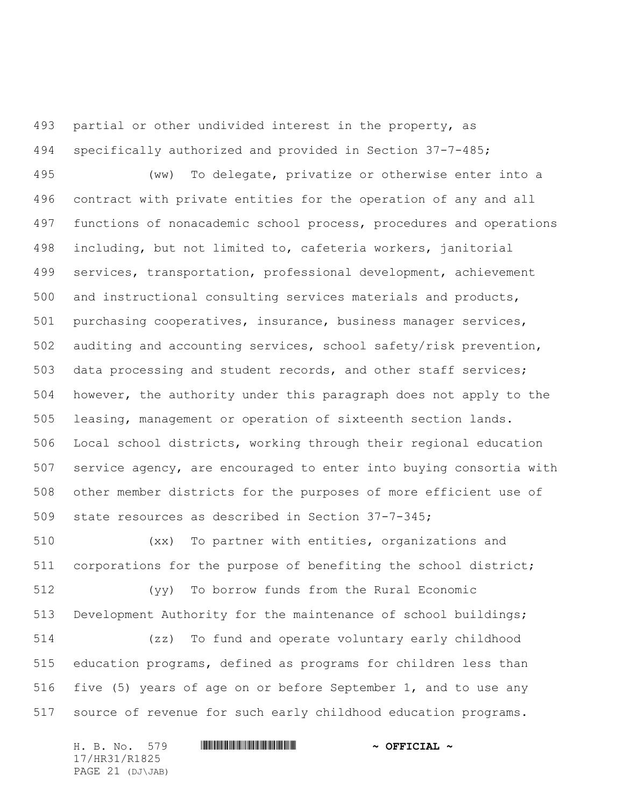partial or other undivided interest in the property, as specifically authorized and provided in Section 37-7-485;

 (ww) To delegate, privatize or otherwise enter into a contract with private entities for the operation of any and all functions of nonacademic school process, procedures and operations including, but not limited to, cafeteria workers, janitorial services, transportation, professional development, achievement and instructional consulting services materials and products, purchasing cooperatives, insurance, business manager services, auditing and accounting services, school safety/risk prevention, data processing and student records, and other staff services; however, the authority under this paragraph does not apply to the leasing, management or operation of sixteenth section lands. Local school districts, working through their regional education service agency, are encouraged to enter into buying consortia with other member districts for the purposes of more efficient use of state resources as described in Section 37-7-345;

 (xx) To partner with entities, organizations and corporations for the purpose of benefiting the school district;

 (yy) To borrow funds from the Rural Economic Development Authority for the maintenance of school buildings;

 (zz) To fund and operate voluntary early childhood education programs, defined as programs for children less than five (5) years of age on or before September 1, and to use any source of revenue for such early childhood education programs.

H. B. No. 579 \*HR31/R1825\* **~ OFFICIAL ~** 17/HR31/R1825 PAGE 21 (DJ\JAB)